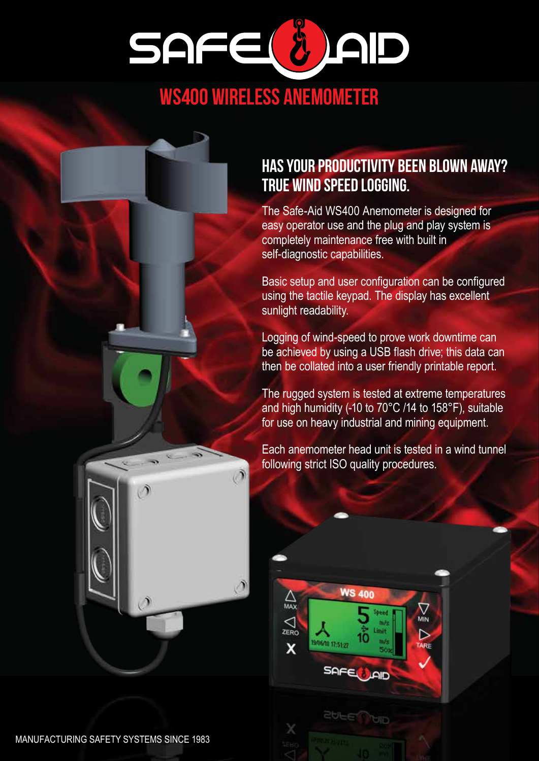

## WS400 WIRELESS ANEMOMETER

#### HAS YOUR PRODUCTIVITY BEEN BLOWN AWAY? TRUE WIND SPEED LOGGING.

The Safe-Aid WS400 Anemometer is designed for easy operator use and the plug and play system is completely maintenance free with built in self-diagnostic capabilities.

Basic setup and user configuration can be configured using the tactile keypad. The display has excellent sunlight readability.

Logging of wind-speed to prove work downtime can be achieved by using a USB flash drive; this data can then be collated into a user friendly printable report.

The rugged system is tested at extreme temperatures and high humidity (-10 to 70°C /14 to 158°F), suitable for use on heavy industrial and mining equipment.

Each anemometer head unit is tested in a wind tunnel following strict ISO quality procedures.

**WS 400** 

9/06/18 17:51:27

**SOFF** 

tre de Lingit

חום

 $\triangle$ 

 $\sum_{\text{ZERO}}$ 

 $\overline{\mathsf{x}}$